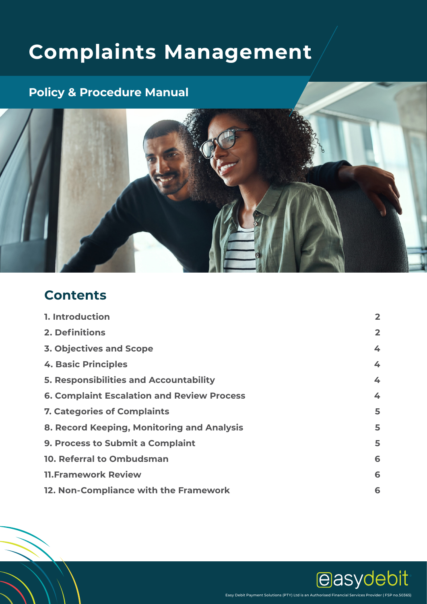# **Complaints Management**

# **Policy & Procedure Manual**



# **Contents**

| 1. Introduction                                   | $\overline{2}$ |
|---------------------------------------------------|----------------|
| 2. Definitions                                    | $\overline{2}$ |
| <b>3. Objectives and Scope</b>                    | 4              |
| <b>4. Basic Principles</b>                        | 4              |
| <b>5. Responsibilities and Accountability</b>     | 4              |
| <b>6. Complaint Escalation and Review Process</b> | 4              |
| <b>7. Categories of Complaints</b>                | 5              |
| 8. Record Keeping, Monitoring and Analysis        | 5              |
| <b>9. Process to Submit a Complaint</b>           | 5              |
| 10. Referral to Ombudsman                         | 6              |
| <b>11. Framework Review</b>                       | 6              |
| 12. Non-Compliance with the Framework             | 6              |

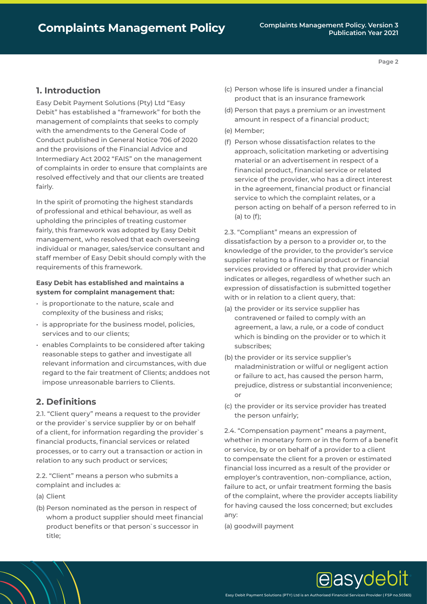**1. Introduction** 

Easy Debit Payment Solutions (Pty) Ltd "Easy Debit" has established a "framework" for both the management of complaints that seeks to comply with the amendments to the General Code of Conduct published in General Notice 706 of 2020 and the provisions of the Financial Advice and Intermediary Act 2002 "FAIS" on the management of complaints in order to ensure that complaints are resolved effectively and that our clients are treated fairly.

In the spirit of promoting the highest standards of professional and ethical behaviour, as well as upholding the principles of treating customer fairly, this framework was adopted by Easy Debit management, who resolved that each overseeing individual or manager, sales/service consultant and staff member of Easy Debit should comply with the requirements of this framework.

#### **Easy Debit has established and maintains a system for complaint management that:**

- is proportionate to the nature, scale and complexity of the business and risks;
- is appropriate for the business model, policies, services and to our clients;
- enables Complaints to be considered after taking reasonable steps to gather and investigate all relevant information and circumstances, with due regard to the fair treatment of Clients; anddoes not impose unreasonable barriers to Clients.

# **2. Definitions**

2.1. "Client query" means a request to the provider or the provider`s service supplier by or on behalf of a client, for information regarding the provider`s financial products, financial services or related processes, or to carry out a transaction or action in relation to any such product or services;

2.2. "Client" means a person who submits a complaint and includes a:

- (a) Client
- (b) Person nominated as the person in respect of whom a product supplier should meet financial product benefits or that person`s successor in title;
- (c) Person whose life is insured under a financial product that is an insurance framework
- (d) Person that pays a premium or an investment amount in respect of a financial product;
- (e) Member;
- (f) Person whose dissatisfaction relates to the approach, solicitation marketing or advertising material or an advertisement in respect of a financial product, financial service or related service of the provider, who has a direct interest in the agreement, financial product or financial service to which the complaint relates, or a person acting on behalf of a person referred to in (a) to (f);

2.3. "Compliant" means an expression of dissatisfaction by a person to a provider or, to the knowledge of the provider, to the provider's service supplier relating to a financial product or financial services provided or offered by that provider which indicates or alleges, regardless of whether such an expression of dissatisfaction is submitted together with or in relation to a client query, that:

- (a) the provider or its service supplier has contravened or failed to comply with an agreement, a law, a rule, or a code of conduct which is binding on the provider or to which it subscribes;
- (b) the provider or its service supplier's maladministration or wilful or negligent action or failure to act, has caused the person harm, prejudice, distress or substantial inconvenience; or
- (c) the provider or its service provider has treated the person unfairly;

2.4. "Compensation payment" means a payment, whether in monetary form or in the form of a benefit or service, by or on behalf of a provider to a client to compensate the client for a proven or estimated financial loss incurred as a result of the provider or employer's contravention, non-compliance, action, failure to act, or unfair treatment forming the basis of the complaint, where the provider accepts liability for having caused the loss concerned; but excludes any:

Easy Debit Payment Solutions (PTY) Ltd is an Authorised Financial Services Provider ( FSP no.50365)

(a) goodwill payment



**Page 2**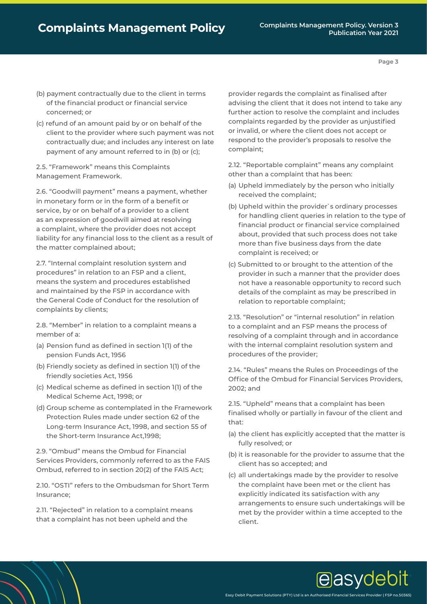# **Complaints Management Policy Complaints Management Policy. Version 3**

**Page 3**

- (b) payment contractually due to the client in terms of the financial product or financial service concerned; or
- (c) refund of an amount paid by or on behalf of the client to the provider where such payment was not contractually due; and includes any interest on late payment of any amount referred to in (b) or (c);

2.5. "Framework" means this Complaints Management Framework.

2.6. "Goodwill payment" means a payment, whether in monetary form or in the form of a benefit or service, by or on behalf of a provider to a client as an expression of goodwill aimed at resolving a complaint, where the provider does not accept liability for any financial loss to the client as a result of the matter complained about;

2.7. "Internal complaint resolution system and procedures" in relation to an FSP and a client, means the system and procedures established and maintained by the FSP in accordance with the General Code of Conduct for the resolution of complaints by clients;

2.8. "Member" in relation to a complaint means a member of a:

- (a) Pension fund as defined in section 1(1) of the pension Funds Act, 1956
- (b) Friendly society as defined in section 1(1) of the friendly societies Act, 1956
- (c) Medical scheme as defined in section 1(1) of the Medical Scheme Act, 1998; or
- (d) Group scheme as contemplated in the Framework Protection Rules made under section 62 of the Long-term Insurance Act, 1998, and section 55 of the Short-term Insurance Act,1998;

2.9. "Ombud" means the Ombud for Financial Services Providers, commonly referred to as the FAIS Ombud, referred to in section 20(2) of the FAIS Act;

2.10. "OSTI" refers to the Ombudsman for Short Term Insurance;

2.11. "Rejected" in relation to a complaint means that a complaint has not been upheld and the

provider regards the complaint as finalised after advising the client that it does not intend to take any further action to resolve the complaint and includes complaints regarded by the provider as unjustified or invalid, or where the client does not accept or respond to the provider's proposals to resolve the complaint;

2.12. "Reportable complaint" means any complaint other than a complaint that has been:

- (a) Upheld immediately by the person who initially received the complaint;
- (b) Upheld within the provider`s ordinary processes for handling client queries in relation to the type of financial product or financial service complained about, provided that such process does not take more than five business days from the date complaint is received; or
- (c) Submitted to or brought to the attention of the provider in such a manner that the provider does not have a reasonable opportunity to record such details of the complaint as may be prescribed in relation to reportable complaint;

2.13. "Resolution" or "internal resolution" in relation to a complaint and an FSP means the process of resolving of a complaint through and in accordance with the internal complaint resolution system and procedures of the provider;

2.14. "Rules" means the Rules on Proceedings of the Office of the Ombud for Financial Services Providers, 2002; and

2.15. "Upheld" means that a complaint has been finalised wholly or partially in favour of the client and that:

- (a) the client has explicitly accepted that the matter is fully resolved; or
- (b) it is reasonable for the provider to assume that the client has so accepted; and
- (c) all undertakings made by the provider to resolve the complaint have been met or the client has explicitly indicated its satisfaction with any arrangements to ensure such undertakings will be met by the provider within a time accepted to the client.

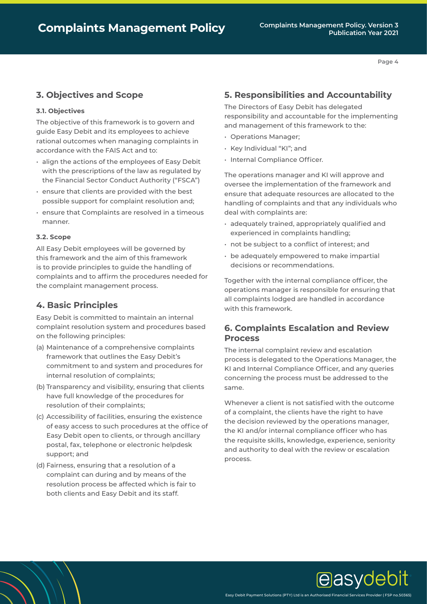# **Complaints Management Policy Complaints Management Policy. Version 3**

**Page 4**

# **3. Objectives and Scope**

#### **3.1. Objectives**

The objective of this framework is to govern and guide Easy Debit and its employees to achieve rational outcomes when managing complaints in accordance with the FAIS Act and to:

- align the actions of the employees of Easy Debit with the prescriptions of the law as regulated by the Financial Sector Conduct Authority ("FSCA")
- ensure that clients are provided with the best possible support for complaint resolution and;
- ensure that Complaints are resolved in a timeous manner.

#### **3.2. Scope**

All Easy Debit employees will be governed by this framework and the aim of this framework is to provide principles to guide the handling of complaints and to affirm the procedures needed for the complaint management process.

# **4. Basic Principles**

Easy Debit is committed to maintain an internal complaint resolution system and procedures based on the following principles:

- (a) Maintenance of a comprehensive complaints framework that outlines the Easy Debit's commitment to and system and procedures for internal resolution of complaints;
- (b) Transparency and visibility, ensuring that clients have full knowledge of the procedures for resolution of their complaints;
- (c) Accessibility of facilities, ensuring the existence of easy access to such procedures at the office of Easy Debit open to clients, or through ancillary postal, fax, telephone or electronic helpdesk support; and
- (d) Fairness, ensuring that a resolution of a complaint can during and by means of the resolution process be affected which is fair to both clients and Easy Debit and its staff.

# **5. Responsibilities and Accountability**

The Directors of Easy Debit has delegated responsibility and accountable for the implementing and management of this framework to the:

- Operations Manager;
- Key Individual "KI"; and
- Internal Compliance Officer.

The operations manager and KI will approve and oversee the implementation of the framework and ensure that adequate resources are allocated to the handling of complaints and that any individuals who deal with complaints are:

- adequately trained, appropriately qualified and experienced in complaints handling;
- not be subject to a conflict of interest; and
- be adequately empowered to make impartial decisions or recommendations.

Together with the internal compliance officer, the operations manager is responsible for ensuring that all complaints lodged are handled in accordance with this framework.

### **6. Complaints Escalation and Review Process**

The internal complaint review and escalation process is delegated to the Operations Manager, the KI and Internal Compliance Officer, and any queries concerning the process must be addressed to the same.

Whenever a client is not satisfied with the outcome of a complaint, the clients have the right to have the decision reviewed by the operations manager, the KI and/or internal compliance officer who has the requisite skills, knowledge, experience, seniority and authority to deal with the review or escalation process.

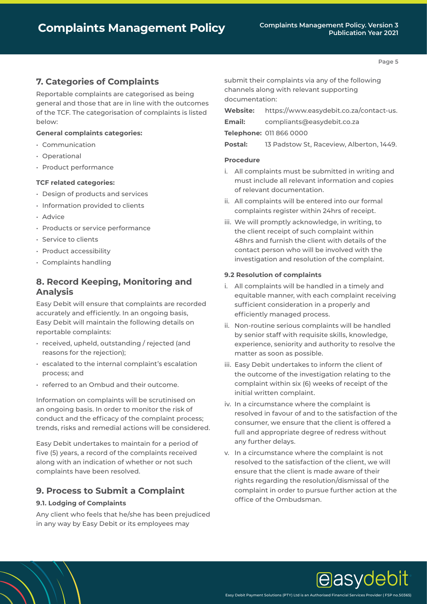# **7. Categories of Complaints**

Reportable complaints are categorised as being general and those that are in line with the outcomes of the TCF. The categorisation of complaints is listed below:

#### **General complaints categories:**

- Communication
- Operational
- Product performance

#### **TCF related categories:**

- Design of products and services
- Information provided to clients
- Advice
- Products or service performance
- Service to clients
- Product accessibility
- Complaints handling

## **8. Record Keeping, Monitoring and Analysis**

Easy Debit will ensure that complaints are recorded accurately and efficiently. In an ongoing basis, Easy Debit will maintain the following details on reportable complaints:

- received, upheld, outstanding / rejected (and reasons for the rejection);
- escalated to the internal complaint's escalation process; and
- referred to an Ombud and their outcome.

Information on complaints will be scrutinised on an ongoing basis. In order to monitor the risk of conduct and the efficacy of the complaint process; trends, risks and remedial actions will be considered.

Easy Debit undertakes to maintain for a period of five (5) years, a record of the complaints received along with an indication of whether or not such complaints have been resolved.

### **9. Process to Submit a Complaint**

#### **9.1. Lodging of Complaints**

Any client who feels that he/she has been prejudiced in any way by Easy Debit or its employees may

submit their complaints via any of the following channels along with relevant supporting documentation:

**Website:** https://www.easydebit.co.za/contact-us.

**Email:** compliants@easydebit.co.za

**Telephone:** 011 866 0000

Postal: 13 Padstow St, Raceview, Alberton, 1449.

#### **Procedure**

- i. All complaints must be submitted in writing and must include all relevant information and copies of relevant documentation.
- ii. All complaints will be entered into our formal complaints register within 24hrs of receipt.
- iii. We will promptly acknowledge, in writing, to the client receipt of such complaint within 48hrs and furnish the client with details of the contact person who will be involved with the investigation and resolution of the complaint.

#### **9.2 Resolution of complaints**

- i. All complaints will be handled in a timely and equitable manner, with each complaint receiving sufficient consideration in a properly and efficiently managed process.
- ii. Non-routine serious complaints will be handled by senior staff with requisite skills, knowledge, experience, seniority and authority to resolve the matter as soon as possible.
- iii. Easy Debit undertakes to inform the client of the outcome of the investigation relating to the complaint within six (6) weeks of receipt of the initial written complaint.
- iv. In a circumstance where the complaint is resolved in favour of and to the satisfaction of the consumer, we ensure that the client is offered a full and appropriate degree of redress without any further delays.
- v. In a circumstance where the complaint is not resolved to the satisfaction of the client, we will ensure that the client is made aware of their rights regarding the resolution/dismissal of the complaint in order to pursue further action at the office of the Ombudsman.



Easy Debit Payment Solutions (PTY) Ltd is an Authorised Financial Services Provider ( FSP no.50365)

**Page 5**